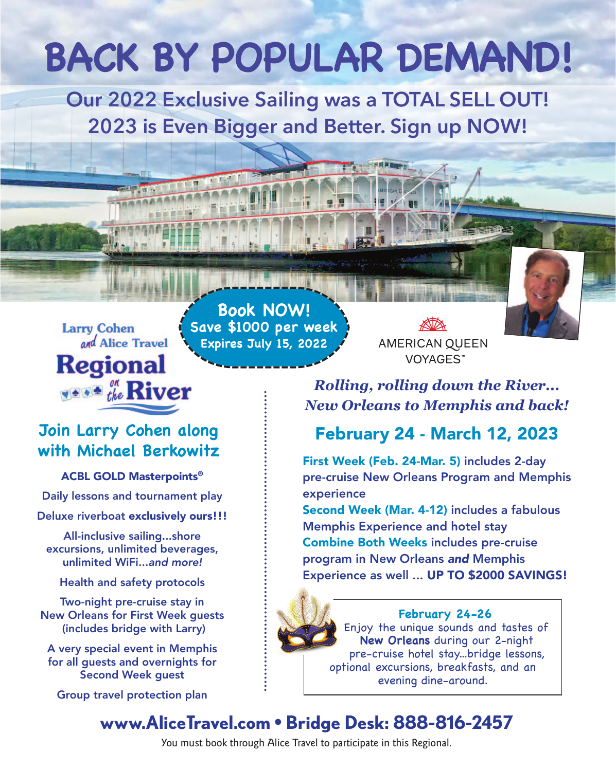# **BACK BY POPULAR DEMAND!**

**Our 2022 Exclusive Sailing was a TOTAL SELL OUT! 2023 is Even Bigger and Better. Sign up NOW!**

**Larry Cohen** and Alice Travel **Regional TANA the River** 

**Book NOW! Save \$1000 per week Expires July 15, 2022**

**AMERICAN QUEEN** VOYAGES™

*Rolling, rolling down the River... New Orleans to Memphis and back!*

# February 24 - March 12, 2023

First Week (Feb. 24-Mar. 5) includes 2-day pre-cruise New Orleans Program and Memphis experience

Second Week (Mar. 4-12) includes a fabulous Memphis Experience and hotel stay Combine Both Weeks includes pre-cruise program in New Orleans *and* Memphis Experience as well ... UP TO \$2000 SAVINGS!

## **February 24-26**

Enjoy the unique sounds and tastes of **New Orleans** during our 2-night pre-cruise hotel stay...bridge lessons, optional excursions, breakfasts, and an evening dine-around.

# **www.AliceTravel.com • Bridge Desk: 888-816-2457**

You must book through Alice Travel to participate in this Regional.

# **Join Larry Cohen along with Michael Berkowitz**

ACBL GOLD Masterpoints®

Daily lessons and tournament play

Deluxe riverboat exclusively ours!!!

All-inclusive sailing...shore excursions, unlimited beverages, unlimited WiFi...*and more!*

Health and safety protocols

Two-night pre-cruise stay in New Orleans for First Week guests (includes bridge with Larry)

A very special event in Memphis for all guests and overnights for Second Week guest

Group travel protection plan